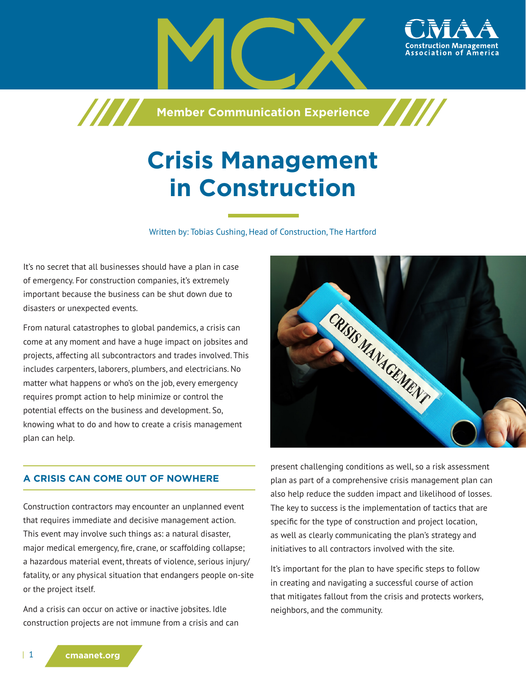

**Member Communication Experience**

# **Crisis Management in Construction**

Written by: Tobias Cushing, Head of Construction, The Hartford

It's no secret that all businesses should have a plan in case of emergency. For construction companies, it's extremely important because the business can be shut down due to disasters or unexpected events.

777

From natural catastrophes to global pandemics, a crisis can come at any moment and have a huge impact on jobsites and projects, affecting all subcontractors and trades involved. This includes carpenters, laborers, plumbers, and electricians. No matter what happens or who's on the job, every emergency requires prompt action to help minimize or control the potential effects on the business and development. So, knowing what to do and how to create a crisis management plan can help.



## **A CRISIS CAN COME OUT OF NOWHERE**

Construction contractors may encounter an unplanned event that requires immediate and decisive management action. This event may involve such things as: a natural disaster, major medical emergency, fire, crane, or scaffolding collapse; a hazardous material event, threats of violence, serious injury/ fatality, or any physical situation that endangers people on-site or the project itself.

And a crisis can occur on active or inactive jobsites. Idle construction projects are not immune from a crisis and can

present challenging conditions as well, so a risk assessment plan as part of a comprehensive crisis management plan can also help reduce the sudden impact and likelihood of losses. The key to success is the implementation of tactics that are specific for the type of construction and project location, as well as clearly communicating the plan's strategy and initiatives to all contractors involved with the site.

It's important for the plan to have specific steps to follow in creating and navigating a successful course of action that mitigates fallout from the crisis and protects workers, neighbors, and the community.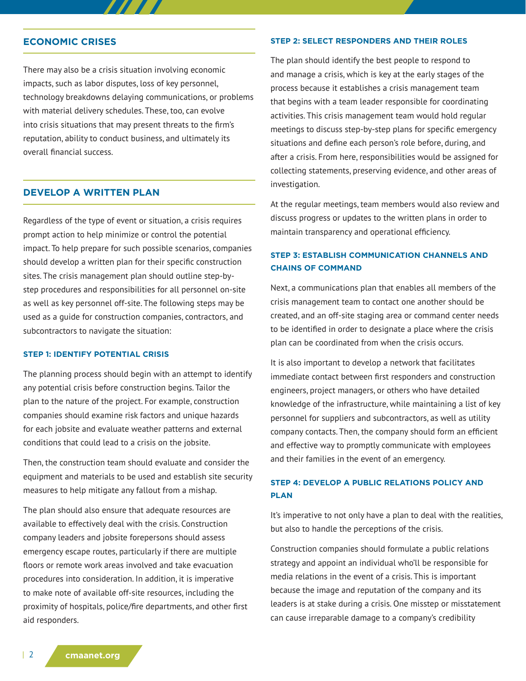## **ECONOMIC CRISES**

There may also be a crisis situation involving economic impacts, such as labor disputes, loss of key personnel, technology breakdowns delaying communications, or problems with material delivery schedules. These, too, can evolve into crisis situations that may present threats to the firm's reputation, ability to conduct business, and ultimately its overall financial success.

777 T

#### **DEVELOP A WRITTEN PLAN**

Regardless of the type of event or situation, a crisis requires prompt action to help minimize or control the potential impact. To help prepare for such possible scenarios, companies should develop a written plan for their specific construction sites. The crisis management plan should outline step-bystep procedures and responsibilities for all personnel on-site as well as key personnel off-site. The following steps may be used as a guide for construction companies, contractors, and subcontractors to navigate the situation:

#### **STEP 1: IDENTIFY POTENTIAL CRISIS**

The planning process should begin with an attempt to identify any potential crisis before construction begins. Tailor the plan to the nature of the project. For example, construction companies should examine risk factors and unique hazards for each jobsite and evaluate weather patterns and external conditions that could lead to a crisis on the jobsite.

Then, the construction team should evaluate and consider the equipment and materials to be used and establish site security measures to help mitigate any fallout from a mishap.

The plan should also ensure that adequate resources are available to effectively deal with the crisis. Construction company leaders and jobsite forepersons should assess emergency escape routes, particularly if there are multiple floors or remote work areas involved and take evacuation procedures into consideration. In addition, it is imperative to make note of available off-site resources, including the proximity of hospitals, police/fire departments, and other first aid responders.

#### **STEP 2: SELECT RESPONDERS AND THEIR ROLES**

The plan should identify the best people to respond to and manage a crisis, which is key at the early stages of the process because it establishes a crisis management team that begins with a team leader responsible for coordinating activities. This crisis management team would hold regular meetings to discuss step-by-step plans for specific emergency situations and define each person's role before, during, and after a crisis. From here, responsibilities would be assigned for collecting statements, preserving evidence, and other areas of investigation.

At the regular meetings, team members would also review and discuss progress or updates to the written plans in order to maintain transparency and operational efficiency.

## **STEP 3: ESTABLISH COMMUNICATION CHANNELS AND CHAINS OF COMMAND**

Next, a communications plan that enables all members of the crisis management team to contact one another should be created, and an off-site staging area or command center needs to be identified in order to designate a place where the crisis plan can be coordinated from when the crisis occurs.

It is also important to develop a network that facilitates immediate contact between first responders and construction engineers, project managers, or others who have detailed knowledge of the infrastructure, while maintaining a list of key personnel for suppliers and subcontractors, as well as utility company contacts. Then, the company should form an efficient and effective way to promptly communicate with employees and their families in the event of an emergency.

# **STEP 4: DEVELOP A PUBLIC RELATIONS POLICY AND PLAN**

It's imperative to not only have a plan to deal with the realities, but also to handle the perceptions of the crisis.

Construction companies should formulate a public relations strategy and appoint an individual who'll be responsible for media relations in the event of a crisis. This is important because the image and reputation of the company and its leaders is at stake during a crisis. One misstep or misstatement can cause irreparable damage to a company's credibility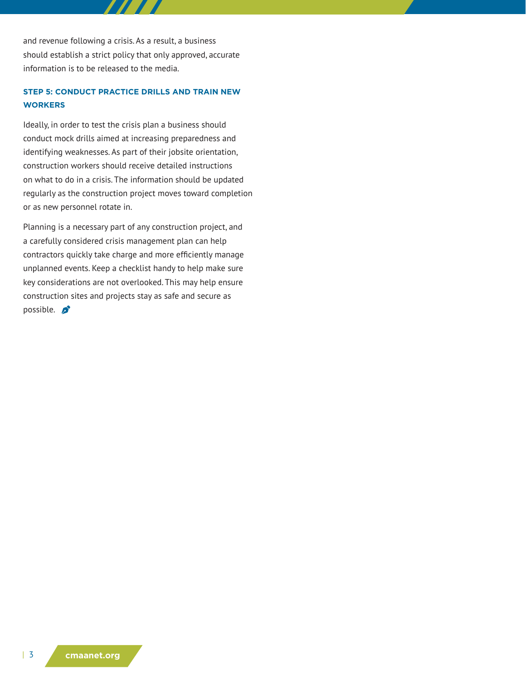and revenue following a crisis. As a result, a business should establish a strict policy that only approved, accurate information is to be released to the media.

# **STEP 5: CONDUCT PRACTICE DRILLS AND TRAIN NEW WORKERS**

Ideally, in order to test the crisis plan a business should conduct mock drills aimed at increasing preparedness and identifying weaknesses. As part of their jobsite orientation, construction workers should receive detailed instructions on what to do in a crisis. The information should be updated regularly as the construction project moves toward completion or as new personnel rotate in.

Planning is a necessary part of any construction project, and a carefully considered crisis management plan can help contractors quickly take charge and more efficiently manage unplanned events. Keep a checklist handy to help make sure key considerations are not overlooked. This may help ensure construction sites and projects stay as safe and secure as possible.